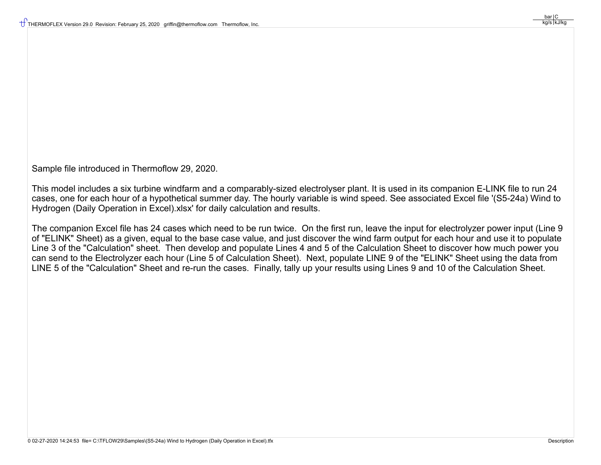Sample file introduced in Thermoflow 29, 2020.

This model includes a six turbine windfarm and a comparably-sized electrolyser plant. It is used in its companion E-LINK file to run 24 cases, one for each hour of a hypothetical summer day. The hourly variable is wind speed. See associated Excel file '(S5-24a) Wind to Hydrogen (Daily Operation in Excel).xlsx' for daily calculation and results.

The companion Excel file has 24 cases which need to be run twice. On the first run, leave the input for electrolyzer power input (Line 9 of "ELINK" Sheet) as a given, equal to the base case value, and just discover the wind farm output for each hour and use it to populate Line 3 of the "Calculation" sheet. Then develop and populate Lines 4 and 5 of the Calculation Sheet to discover how much power you can send to the Electrolyzer each hour (Line 5 of Calculation Sheet). Next, populate LINE 9 of the "ELINK" Sheet using the data from LINE 5 of the "Calculation" Sheet and re-run the cases. Finally, tally up your results using Lines 9 and 10 of the Calculation Sheet.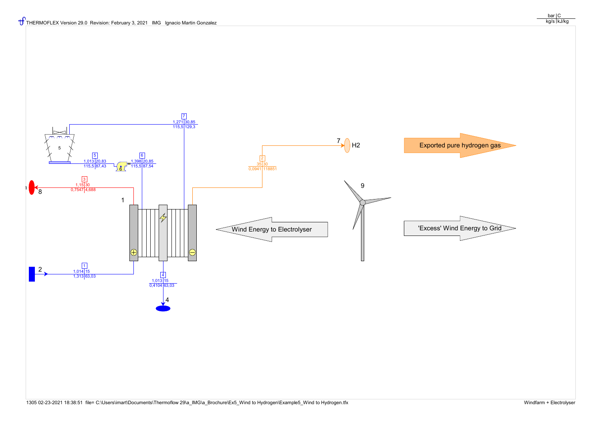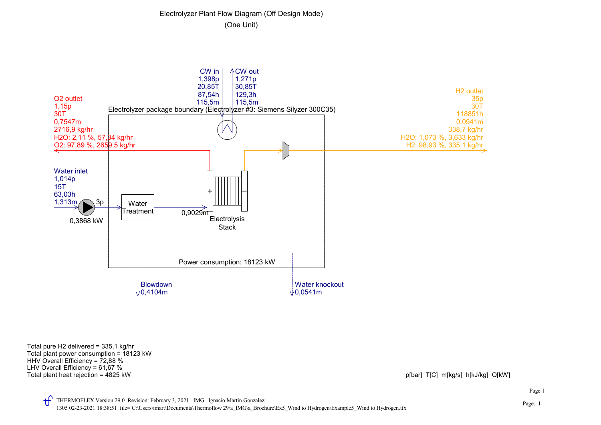## Electrolyzer Plant Flow Diagram (Off Design Mode) (One Unit)



Total plant heat rejection = 4825 kW picture = 4825 kW picture = http://www.facture.com/integration = 4825 kW picture = http://www.facture.com/integration = 4825 kW picture = http://www.facture.com/integration = 4825 kW pi LHV Overall Efficiency = 61,67 % HHV Overall Efficiency = 72,88 % Total plant power consumption = 18123 kW Total pure H2 delivered = 335,1 kg/hr

Page: 1